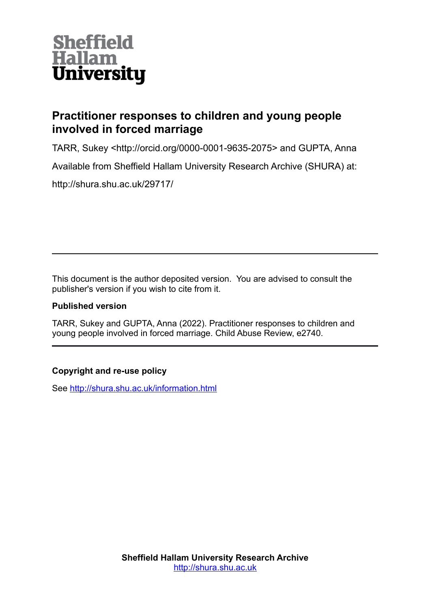

# **Practitioner responses to children and young people involved in forced marriage**

TARR, Sukey <http://orcid.org/0000-0001-9635-2075> and GUPTA, Anna Available from Sheffield Hallam University Research Archive (SHURA) at: http://shura.shu.ac.uk/29717/

This document is the author deposited version. You are advised to consult the publisher's version if you wish to cite from it.

## **Published version**

TARR, Sukey and GUPTA, Anna (2022). Practitioner responses to children and young people involved in forced marriage. Child Abuse Review, e2740.

## **Copyright and re-use policy**

See<http://shura.shu.ac.uk/information.html>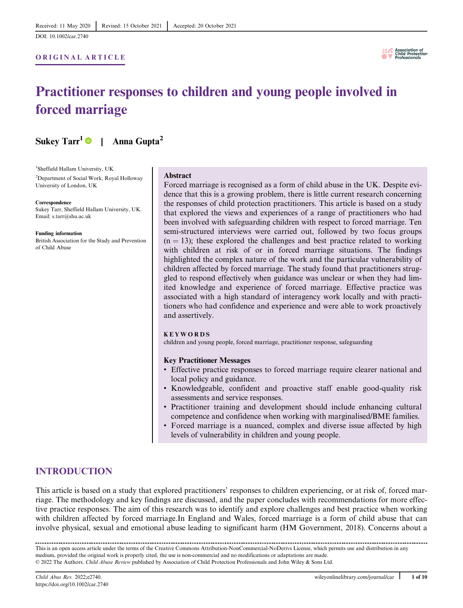[DOI: 10.1002/car.2740](https://doi.org/10.1002/car.2740)

### ORIGINAL ARTICLE



# Practitioner responses to children and young people involved in forced marriage

Sukey Tarr<sup>1</sup> | Anna Gupta<sup>2</sup>

1 Sheffield Hallam University, UK 2 Department of Social Work, Royal Holloway University of London, UK

**Correspondence** Sukey Tarr, Sheffield Hallam University, UK. Email: [s.tarr@shu.ac.uk](mailto:s.tarr@shu.ac.uk)

Funding information British Association for the Study and Prevention of Child Abuse

#### Abstract

Forced marriage is recognised as a form of child abuse in the UK. Despite evidence that this is a growing problem, there is little current research concerning the responses of child protection practitioners. This article is based on a study that explored the views and experiences of a range of practitioners who had been involved with safeguarding children with respect to forced marriage. Ten semi-structured interviews were carried out, followed by two focus groups  $(n = 13)$ ; these explored the challenges and best practice related to working with children at risk of or in forced marriage situations. The findings highlighted the complex nature of the work and the particular vulnerability of children affected by forced marriage. The study found that practitioners struggled to respond effectively when guidance was unclear or when they had limited knowledge and experience of forced marriage. Effective practice was associated with a high standard of interagency work locally and with practitioners who had confidence and experience and were able to work proactively and assertively.

#### KEYWORDS

children and young people, forced marriage, practitioner response, safeguarding

#### Key Practitioner Messages

- Effective practice responses to forced marriage require clearer national and local policy and guidance.
- Knowledgeable, confident and proactive staff enable good-quality risk assessments and service responses.
- Practitioner training and development should include enhancing cultural competence and confidence when working with marginalised/BME families.
- Forced marriage is a nuanced, complex and diverse issue affected by high levels of vulnerability in children and young people.

## INTRODUCTION

This article is based on a study that explored practitioners' responses to children experiencing, or at risk of, forced marriage. The methodology and key findings are discussed, and the paper concludes with recommendations for more effective practice responses. The aim of this research was to identify and explore challenges and best practice when working with children affected by forced marriage.In England and Wales, forced marriage is a form of child abuse that can involve physical, sexual and emotional abuse leading to significant harm (HM Government, 2018). Concerns about a

This is an open access article under the terms of the [Creative Commons Attribution-NonCommercial-NoDerivs](http://creativecommons.org/licenses/by-nc-nd/4.0/) License, which permits use and distribution in any medium, provided the original work is properly cited, the use is non-commercial and no modifications or adaptations are made. © 2022 The Authors. Child Abuse Review published by Association of Child Protection Professionals and John Wiley & Sons Ltd.

<https://doi.org/10.1002/car.2740>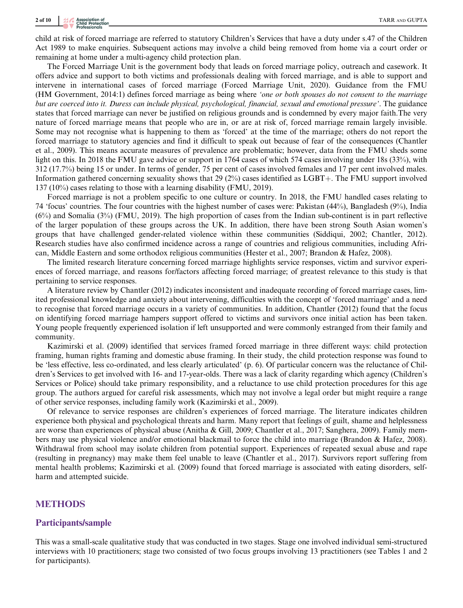child at risk of forced marriage are referred to statutory Children's Services that have a duty under s.47 of the Children Act 1989 to make enquiries. Subsequent actions may involve a child being removed from home via a court order or remaining at home under a multi-agency child protection plan.

The Forced Marriage Unit is the government body that leads on forced marriage policy, outreach and casework. It offers advice and support to both victims and professionals dealing with forced marriage, and is able to support and intervene in international cases of forced marriage (Forced Marriage Unit, 2020). Guidance from the FMU (HM Government, 2014:1) defines forced marriage as being where 'one or both spouses do not consent to the marriage but are coerced into it. Duress can include physical, psychological, financial, sexual and emotional pressure'. The guidance states that forced marriage can never be justified on religious grounds and is condemned by every major faith.The very nature of forced marriage means that people who are in, or are at risk of, forced marriage remain largely invisible. Some may not recognise what is happening to them as 'forced' at the time of the marriage; others do not report the forced marriage to statutory agencies and find it difficult to speak out because of fear of the consequences (Chantler et al., 2009). This means accurate measures of prevalence are problematic; however, data from the FMU sheds some light on this. In 2018 the FMU gave advice or support in 1764 cases of which 574 cases involving under 18s (33%), with 312 (17.7%) being 15 or under. In terms of gender, 75 per cent of cases involved females and 17 per cent involved males. Information gathered concerning sexuality shows that 29 ( $2\%$ ) cases identified as LGBT+. The FMU support involved 137 (10%) cases relating to those with a learning disability (FMU, 2019).

Forced marriage is not a problem specific to one culture or country. In 2018, the FMU handled cases relating to 74 'focus' countries. The four countries with the highest number of cases were: Pakistan (44%), Bangladesh (9%), India (6%) and Somalia (3%) (FMU, 2019). The high proportion of cases from the Indian sub-continent is in part reflective of the larger population of these groups across the UK. In addition, there have been strong South Asian women's groups that have challenged gender-related violence within these communities (Siddiqui, 2002; Chantler, 2012). Research studies have also confirmed incidence across a range of countries and religious communities, including African, Middle Eastern and some orthodox religious communities (Hester et al., 2007; Brandon & Hafez, 2008).

The limited research literature concerning forced marriage highlights service responses, victim and survivor experiences of forced marriage, and reasons for/factors affecting forced marriage; of greatest relevance to this study is that pertaining to service responses.

A literature review by Chantler (2012) indicates inconsistent and inadequate recording of forced marriage cases, limited professional knowledge and anxiety about intervening, difficulties with the concept of 'forced marriage' and a need to recognise that forced marriage occurs in a variety of communities. In addition, Chantler (2012) found that the focus on identifying forced marriage hampers support offered to victims and survivors once initial action has been taken. Young people frequently experienced isolation if left unsupported and were commonly estranged from their family and community.

Kazimirski et al. (2009) identified that services framed forced marriage in three different ways: child protection framing, human rights framing and domestic abuse framing. In their study, the child protection response was found to be 'less effective, less co-ordinated, and less clearly articulated' (p. 6). Of particular concern was the reluctance of Children's Services to get involved with 16- and 17-year-olds. There was a lack of clarity regarding which agency (Children's Services or Police) should take primary responsibility, and a reluctance to use child protection procedures for this age group. The authors argued for careful risk assessments, which may not involve a legal order but might require a range of other service responses, including family work (Kazimirski et al., 2009).

Of relevance to service responses are children's experiences of forced marriage. The literature indicates children experience both physical and psychological threats and harm. Many report that feelings of guilt, shame and helplessness are worse than experiences of physical abuse (Anitha & Gill, 2009; Chantler et al., 2017; Sanghera, 2009). Family members may use physical violence and/or emotional blackmail to force the child into marriage (Brandon & Hafez, 2008). Withdrawal from school may isolate children from potential support. Experiences of repeated sexual abuse and rape (resulting in pregnancy) may make them feel unable to leave (Chantler et al., 2017). Survivors report suffering from mental health problems; Kazimirski et al. (2009) found that forced marriage is associated with eating disorders, selfharm and attempted suicide.

#### **METHODS**

#### Participants/sample

This was a small-scale qualitative study that was conducted in two stages. Stage one involved individual semi-structured interviews with 10 practitioners; stage two consisted of two focus groups involving 13 practitioners (see Tables 1 and 2 for participants).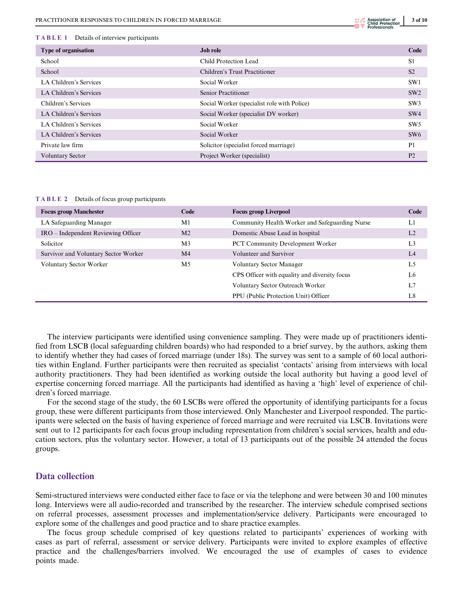#### TABLE 1 Details of interview participants

| Type of organisation    | <b>Job role</b>                             | Code            |
|-------------------------|---------------------------------------------|-----------------|
| School                  | Child Protection Lead                       | S <sub>1</sub>  |
| School                  | Children's Trust Practitioner               | S <sub>2</sub>  |
| LA Children's Services  | Social Worker                               | SW <sub>1</sub> |
| LA Children's Services  | Senior Practitioner                         | SW2             |
| Children's Services     | Social Worker (specialist role with Police) | SW3             |
| LA Children's Services  | Social Worker (specialist DV worker)        | SW4             |
| LA Children's Services  | Social Worker                               | SW5             |
| LA Children's Services  | Social Worker                               | SW6             |
| Private law firm        | Solicitor (specialist forced marriage)      | P <sub>1</sub>  |
| <b>Voluntary Sector</b> | Project Worker (specialist)                 | P <sub>2</sub>  |

TABLE 2 Details of focus group participants

| <b>Focus group Manchester</b>        | Code           | <b>Focus group Liverpool</b>                   | Code           |
|--------------------------------------|----------------|------------------------------------------------|----------------|
| LA Safeguarding Manager              | M1             | Community Health Worker and Safeguarding Nurse | L1             |
| IRO – Independent Reviewing Officer  | M <sub>2</sub> | Domestic Abuse Lead in hospital                | L <sub>2</sub> |
| Solicitor                            | M <sub>3</sub> | <b>PCT Community Development Worker</b>        | L <sub>3</sub> |
| Survivor and Voluntary Sector Worker | M <sub>4</sub> | Volunteer and Survivor                         | L4             |
| Voluntary Sector Worker              | M <sub>5</sub> | Voluntary Sector Manager                       | L <sub>5</sub> |
|                                      |                | CPS Officer with equality and diversity focus  | L6             |
|                                      |                | Voluntary Sector Outreach Worker               | L7             |
|                                      |                | PPU (Public Protection Unit) Officer           | L8             |

The interview participants were identified using convenience sampling. They were made up of practitioners identified from LSCB (local safeguarding children boards) who had responded to a brief survey, by the authors, asking them to identify whether they had cases of forced marriage (under 18s). The survey was sent to a sample of 60 local authorities within England. Further participants were then recruited as specialist 'contacts' arising from interviews with local authority practitioners. They had been identified as working outside the local authority but having a good level of expertise concerning forced marriage. All the participants had identified as having a 'high' level of experience of children's forced marriage.

For the second stage of the study, the 60 LSCBs were offered the opportunity of identifying participants for a focus group, these were different participants from those interviewed. Only Manchester and Liverpool responded. The participants were selected on the basis of having experience of forced marriage and were recruited via LSCB. Invitations were sent out to 12 participants for each focus group including representation from children's social services, health and education sectors, plus the voluntary sector. However, a total of 13 participants out of the possible 24 attended the focus groups.

## Data collection

Semi-structured interviews were conducted either face to face or via the telephone and were between 30 and 100 minutes long. Interviews were all audio-recorded and transcribed by the researcher. The interview schedule comprised sections on referral processes, assessment processes and implementation/service delivery. Participants were encouraged to explore some of the challenges and good practice and to share practice examples.

The focus group schedule comprised of key questions related to participants' experiences of working with cases as part of referral, assessment or service delivery. Participants were invited to explore examples of effective practice and the challenges/barriers involved. We encouraged the use of examples of cases to evidence points made.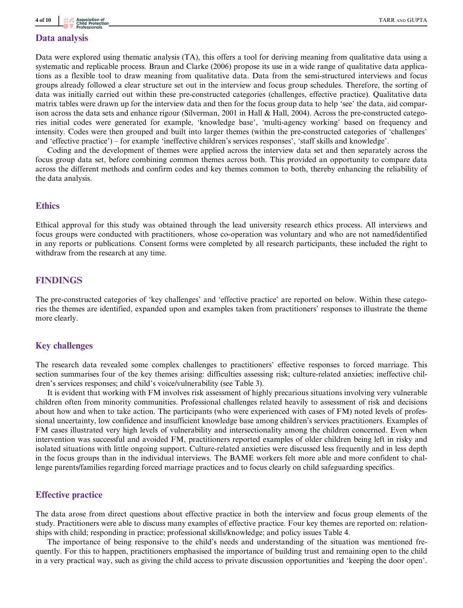#### Data analysis

Data were explored using thematic analysis (TA), this offers a tool for deriving meaning from qualitative data using a systematic and replicable process. Braun and Clarke (2006) propose its use in a wide range of qualitative data applications as a flexible tool to draw meaning from qualitative data. Data from the semi-structured interviews and focus groups already followed a clear structure set out in the interview and focus group schedules. Therefore, the sorting of data was initially carried out within these pre-constructed categories (challenges, effective practice). Qualitative data matrix tables were drawn up for the interview data and then for the focus group data to help 'see' the data, aid comparison across the data sets and enhance rigour (Silverman, 2001 in Hall & Hall, 2004). Across the pre-constructed categories initial codes were generated for example, 'knowledge base', 'multi-agency working' based on frequency and intensity. Codes were then grouped and built into larger themes (within the pre-constructed categories of 'challenges' and 'effective practice') – for example 'ineffective children's services responses', 'staff skills and knowledge'.

Coding and the development of themes were applied across the interview data set and then separately across the focus group data set, before combining common themes across both. This provided an opportunity to compare data across the different methods and confirm codes and key themes common to both, thereby enhancing the reliability of the data analysis.

#### **Ethics**

Ethical approval for this study was obtained through the lead university research ethics process. All interviews and focus groups were conducted with practitioners, whose co-operation was voluntary and who are not named/identified in any reports or publications. Consent forms were completed by all research participants, these included the right to withdraw from the research at any time.

## FINDINGS

The pre-constructed categories of 'key challenges' and 'effective practice' are reported on below. Within these categories the themes are identified, expanded upon and examples taken from practitioners' responses to illustrate the theme more clearly.

### Key challenges

The research data revealed some complex challenges to practitioners' effective responses to forced marriage. This section summarises four of the key themes arising: difficulties assessing risk; culture-related anxieties; ineffective children's services responses; and child's voice/vulnerability (see Table 3).

It is evident that working with FM involves risk assessment of highly precarious situations involving very vulnerable children often from minority communities. Professional challenges related heavily to assessment of risk and decisions about how and when to take action. The participants (who were experienced with cases of FM) noted levels of professional uncertainty, low confidence and insufficient knowledge base among children's services practitioners. Examples of FM cases illustrated very high levels of vulnerability and intersectionality among the children concerned. Even when intervention was successful and avoided FM, practitioners reported examples of older children being left in risky and isolated situations with little ongoing support. Culture-related anxieties were discussed less frequently and in less depth in the focus groups than in the individual interviews. The BAME workers felt more able and more confident to challenge parents/families regarding forced marriage practices and to focus clearly on child safeguarding specifics.

#### Effective practice

The data arose from direct questions about effective practice in both the interview and focus group elements of the study. Practitioners were able to discuss many examples of effective practice. Four key themes are reported on: relationships with child; responding in practice; professional skills/knowledge; and policy issues Table 4.

The importance of being responsive to the child's needs and understanding of the situation was mentioned frequently. For this to happen, practitioners emphasised the importance of building trust and remaining open to the child in a very practical way, such as giving the child access to private discussion opportunities and 'keeping the door open'.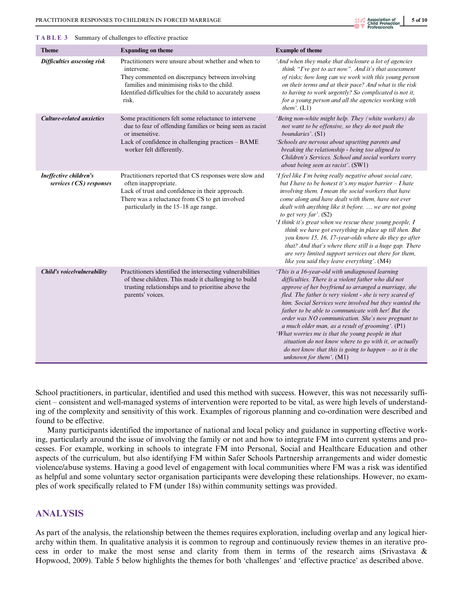

| <b>Theme</b>                                      | <b>Expanding on theme</b>                                                                                                                                                                                                                  | <b>Example of theme</b>                                                                                                                                                                                                                                                                                                                                                                                                                                                                                                                                                                                                                                               |
|---------------------------------------------------|--------------------------------------------------------------------------------------------------------------------------------------------------------------------------------------------------------------------------------------------|-----------------------------------------------------------------------------------------------------------------------------------------------------------------------------------------------------------------------------------------------------------------------------------------------------------------------------------------------------------------------------------------------------------------------------------------------------------------------------------------------------------------------------------------------------------------------------------------------------------------------------------------------------------------------|
| Difficulties assessing risk                       | Practitioners were unsure about whether and when to<br>intervene.<br>They commented on discrepancy between involving<br>families and minimising risks to the child.<br>Identified difficulties for the child to accurately assess<br>risk. | 'And when they make that disclosure a lot of agencies<br>think "I've got to act now". And it's that assessment<br>of risks; how long can we work with this young person<br>on their terms and at their pace? And what is the risk<br>to having to work urgently? So complicated is not it,<br>for a young person and all the agencies working with<br>them'. $(L1)$                                                                                                                                                                                                                                                                                                   |
| <b>Culture-related anxieties</b>                  | Some practitioners felt some reluctance to intervene<br>due to fear of offending families or being seen as racist<br>or insensitive.<br>Lack of confidence in challenging practices - BAME<br>worker felt differently.                     | 'Being non-white might help. They (white workers) do<br>not want to be offensive, so they do not push the<br>boundaries'. (S1)<br>'Schools are nervous about upsetting parents and<br>breaking the relationship - being too aligned to<br>Children's Services. School and social workers worry<br>about being seen as racist'. (SW1)                                                                                                                                                                                                                                                                                                                                  |
| Ineffective children's<br>services (CS) responses | Practitioners reported that CS responses were slow and<br>often inappropriate.<br>Lack of trust and confidence in their approach.<br>There was a reluctance from CS to get involved<br>particularly in the 15–18 age range.                | 'I feel like I'm being really negative about social care,<br>but I have to be honest it's my major barrier $-I$ hate<br>involving them. I mean the social workers that have<br>come along and have dealt with them, have not ever<br>dealt with anything like it before.  we are not going<br>to get very far'. (S2)<br>'I think it's great when we rescue these young people, I<br>think we have got everything in place up till then. But<br>you know 15, 16, 17-year-olds where do they go after<br>that? And that's where there still is a huge gap. There<br>are very limited support services out there for them,<br>like you said they leave everything'. (M4) |
| Child's voicelvulnerability                       | Practitioners identified the intersecting vulnerabilities<br>of these children. This made it challenging to build<br>trusting relationships and to prioritise above the<br>parents' voices.                                                | 'This is a 16-year-old with undiagnosed learning<br>difficulties. There is a violent father who did not<br>approve of her boyfriend so arranged a marriage, she<br>fled. The father is very violent - she is very scared of<br>him. Social Services were involved but they wanted the<br>father to be able to communicate with her! But the<br>order was NO communication. She's now pregnant to<br>a much older man, as a result of grooming'. $(Pl)$<br>'What worries me is that the young people in that<br>situation do not know where to go with it, or actually<br>do not know that this is going to happen $-$ so it is the<br>unknown for them'. $(M1)$       |

School practitioners, in particular, identified and used this method with success. However, this was not necessarily sufficient – consistent and well-managed systems of intervention were reported to be vital, as were high levels of understanding of the complexity and sensitivity of this work. Examples of rigorous planning and co-ordination were described and found to be effective.

Many participants identified the importance of national and local policy and guidance in supporting effective working, particularly around the issue of involving the family or not and how to integrate FM into current systems and processes. For example, working in schools to integrate FM into Personal, Social and Healthcare Education and other aspects of the curriculum, but also identifying FM within Safer Schools Partnership arrangements and wider domestic violence/abuse systems. Having a good level of engagement with local communities where FM was a risk was identified as helpful and some voluntary sector organisation participants were developing these relationships. However, no examples of work specifically related to FM (under 18s) within community settings was provided.

## ANALYSIS

As part of the analysis, the relationship between the themes requires exploration, including overlap and any logical hierarchy within them. In qualitative analysis it is common to regroup and continuously review themes in an iterative process in order to make the most sense and clarity from them in terms of the research aims (Srivastava & Hopwood, 2009). Table 5 below highlights the themes for both 'challenges' and 'effective practice' as described above.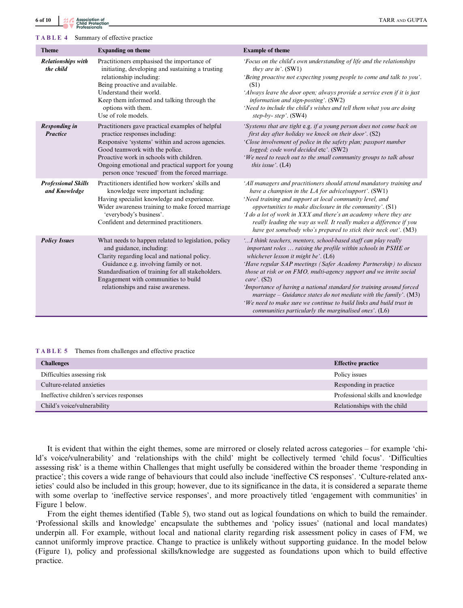| <b>Theme</b>                                | <b>Expanding on theme</b>                                                                                                                                                                                                                                                                                                   | <b>Example of theme</b>                                                                                                                                                                                                                                                                                                                                                                                                                                                                                                                                                                                            |
|---------------------------------------------|-----------------------------------------------------------------------------------------------------------------------------------------------------------------------------------------------------------------------------------------------------------------------------------------------------------------------------|--------------------------------------------------------------------------------------------------------------------------------------------------------------------------------------------------------------------------------------------------------------------------------------------------------------------------------------------------------------------------------------------------------------------------------------------------------------------------------------------------------------------------------------------------------------------------------------------------------------------|
| <b>Relationships with</b><br>the child      | Practitioners emphasised the importance of<br>initiating, developing and sustaining a trusting<br>relationship including:<br>Being proactive and available.<br>Understand their world.<br>Keep them informed and talking through the<br>options with them.<br>Use of role models.                                           | 'Focus on the child's own understanding of life and the relationships<br>they are in'. $(SW1)$<br>'Being proactive not expecting young people to come and talk to you'.<br>(S1)<br>'Always leave the door open; always provide a service even if it is just<br>information and sign-posting'. (SW2)<br>'Need to include the child's wishes and tell them what you are doing<br>step-by- step'. $(SW4)$                                                                                                                                                                                                             |
| <b>Responding in</b><br><b>Practice</b>     | Practitioners gave practical examples of helpful<br>practice responses including:<br>Responsive 'systems' within and across agencies.<br>Good teamwork with the police.<br>Proactive work in schools with children.<br>Ongoing emotional and practical support for young<br>person once 'rescued' from the forced marriage. | 'Systems that are tight e.g. if a young person does not come back on<br>first day after holiday we knock on their door'. (S2)<br>'Close involvement of police in the safety plan; passport number<br>logged; code word decided etc'. (SW2)<br>'We need to reach out to the small community groups to talk about<br>this issue'. $(L4)$                                                                                                                                                                                                                                                                             |
| <b>Professional Skills</b><br>and Knowledge | Practitioners identified how workers' skills and<br>knowledge were important including:<br>Having specialist knowledge and experience.<br>Wider awareness training to make forced marriage<br>'everybody's business'.<br>Confident and determined practitioners.                                                            | 'All managers and practitioners should attend mandatory training and<br>have a champion in the LA for advicelsupport'. (SW1)<br>'Need training and support at local community level, and<br>opportunities to make disclosure in the community'. $(S1)$<br>'I do a lot of work in XXX and there's an academy where they are<br>really leading the way as well. It really makes a difference if you<br>have got somebody who's prepared to stick their neck out'. (M3)                                                                                                                                               |
| <b>Policy Issues</b>                        | What needs to happen related to legislation, policy<br>and guidance, including:<br>Clarity regarding local and national policy.<br>Guidance e.g. involving family or not.<br>Standardisation of training for all stakeholders.<br>Engagement with communities to build<br>relationships and raise awareness.                | ' I think teachers, mentors, school-based staff can play really<br>important roles  raising the profile within schools in PSHE or<br>whichever lesson it might be'. $(L6)$<br>'Have regular SAP meetings (Safer Academy Partnership) to discuss<br>those at risk or on FMO, multi-agency support and we invite social<br>care'. (S2)<br>'Importance of having a national standard for training around forced<br>marriage - Guidance states do not mediate with the family'. (M3)<br>'We need to make sure we continue to build links and build trust in<br>communities particularly the marginalised ones'. $(L6)$ |

TABLE 5 Themes from challenges and effective practice

| <b>Challenges</b>                         | <b>Effective practice</b>         |
|-------------------------------------------|-----------------------------------|
| Difficulties assessing risk               | Policy issues                     |
| Culture-related anxieties                 | Responding in practice            |
| Ineffective children's services responses | Professional skills and knowledge |
| Child's voice/vulnerability               | Relationships with the child      |

It is evident that within the eight themes, some are mirrored or closely related across categories – for example 'child's voice/vulnerability' and 'relationships with the child' might be collectively termed 'child focus'. 'Difficulties assessing risk' is a theme within Challenges that might usefully be considered within the broader theme 'responding in practice'; this covers a wide range of behaviours that could also include 'ineffective CS responses'. 'Culture-related anxieties' could also be included in this group; however, due to its significance in the data, it is considered a separate theme with some overlap to 'ineffective service responses', and more proactively titled 'engagement with communities' in Figure 1 below.

From the eight themes identified (Table 5), two stand out as logical foundations on which to build the remainder. 'Professional skills and knowledge' encapsulate the subthemes and 'policy issues' (national and local mandates) underpin all. For example, without local and national clarity regarding risk assessment policy in cases of FM, we cannot uniformly improve practice. Change to practice is unlikely without supporting guidance. In the model below (Figure 1), policy and professional skills/knowledge are suggested as foundations upon which to build effective practice.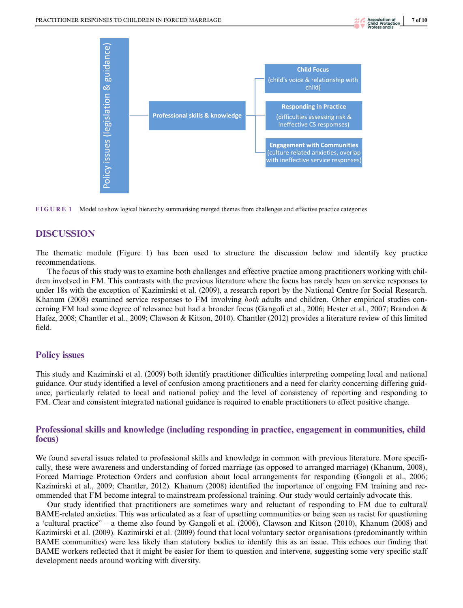



## DISCUSSION

The thematic module (Figure 1) has been used to structure the discussion below and identify key practice recommendations.

The focus of this study was to examine both challenges and effective practice among practitioners working with children involved in FM. This contrasts with the previous literature where the focus has rarely been on service responses to under 18s with the exception of Kazimirski et al. (2009), a research report by the National Centre for Social Research. Khanum (2008) examined service responses to FM involving *both* adults and children. Other empirical studies concerning FM had some degree of relevance but had a broader focus (Gangoli et al., 2006; Hester et al., 2007; Brandon & Hafez, 2008; Chantler et al., 2009; Clawson & Kitson, 2010). Chantler (2012) provides a literature review of this limited field.

#### Policy issues

This study and Kazimirski et al. (2009) both identify practitioner difficulties interpreting competing local and national guidance. Our study identified a level of confusion among practitioners and a need for clarity concerning differing guidance, particularly related to local and national policy and the level of consistency of reporting and responding to FM. Clear and consistent integrated national guidance is required to enable practitioners to effect positive change.

## Professional skills and knowledge (including responding in practice, engagement in communities, child focus)

We found several issues related to professional skills and knowledge in common with previous literature. More specifically, these were awareness and understanding of forced marriage (as opposed to arranged marriage) (Khanum, 2008), Forced Marriage Protection Orders and confusion about local arrangements for responding (Gangoli et al., 2006; Kazimirski et al., 2009; Chantler, 2012). Khanum (2008) identified the importance of ongoing FM training and recommended that FM become integral to mainstream professional training. Our study would certainly advocate this.

Our study identified that practitioners are sometimes wary and reluctant of responding to FM due to cultural/ BAME-related anxieties. This was articulated as a fear of upsetting communities or being seen as racist for questioning a 'cultural practice" – a theme also found by Gangoli et al. (2006), Clawson and Kitson (2010), Khanum (2008) and Kazimirski et al. (2009). Kazimirski et al. (2009) found that local voluntary sector organisations (predominantly within BAME communities) were less likely than statutory bodies to identify this as an issue. This echoes our finding that BAME workers reflected that it might be easier for them to question and intervene, suggesting some very specific staff development needs around working with diversity.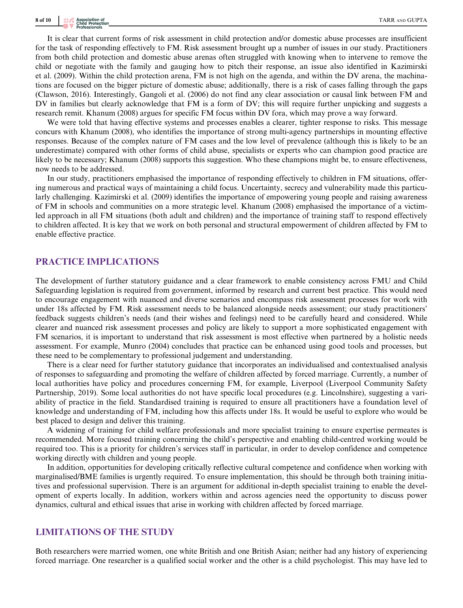## 8 of 10  $\frac{1}{20}$  Association of

It is clear that current forms of risk assessment in child protection and/or domestic abuse processes are insufficient for the task of responding effectively to FM. Risk assessment brought up a number of issues in our study. Practitioners from both child protection and domestic abuse arenas often struggled with knowing when to intervene to remove the child or negotiate with the family and gauging how to pitch their response, an issue also identified in Kazimirski et al. (2009). Within the child protection arena, FM is not high on the agenda, and within the DV arena, the machinations are focused on the bigger picture of domestic abuse; additionally, there is a risk of cases falling through the gaps (Clawson, 2016). Interestingly, Gangoli et al. (2006) do not find any clear association or causal link between FM and DV in families but clearly acknowledge that FM is a form of DV; this will require further unpicking and suggests a research remit. Khanum (2008) argues for specific FM focus within DV fora, which may prove a way forward.

We were told that having effective systems and processes enables a clearer, tighter response to risks. This message concurs with Khanum (2008), who identifies the importance of strong multi-agency partnerships in mounting effective responses. Because of the complex nature of FM cases and the low level of prevalence (although this is likely to be an underestimate) compared with other forms of child abuse, specialists or experts who can champion good practice are likely to be necessary; Khanum (2008) supports this suggestion. Who these champions might be, to ensure effectiveness, now needs to be addressed.

In our study, practitioners emphasised the importance of responding effectively to children in FM situations, offering numerous and practical ways of maintaining a child focus. Uncertainty, secrecy and vulnerability made this particularly challenging. Kazimirski et al. (2009) identifies the importance of empowering young people and raising awareness of FM in schools and communities on a more strategic level. Khanum (2008) emphasised the importance of a victimled approach in all FM situations (both adult and children) and the importance of training staff to respond effectively to children affected. It is key that we work on both personal and structural empowerment of children affected by FM to enable effective practice.

## PRACTICE IMPLICATIONS

The development of further statutory guidance and a clear framework to enable consistency across FMU and Child Safeguarding legislation is required from government, informed by research and current best practice. This would need to encourage engagement with nuanced and diverse scenarios and encompass risk assessment processes for work with under 18s affected by FM. Risk assessment needs to be balanced alongside needs assessment; our study practitioners' feedback suggests children's needs (and their wishes and feelings) need to be carefully heard and considered. While clearer and nuanced risk assessment processes and policy are likely to support a more sophisticated engagement with FM scenarios, it is important to understand that risk assessment is most effective when partnered by a holistic needs assessment. For example, Munro (2004) concludes that practice can be enhanced using good tools and processes, but these need to be complementary to professional judgement and understanding.

There is a clear need for further statutory guidance that incorporates an individualised and contextualised analysis of responses to safeguarding and promoting the welfare of children affected by forced marriage. Currently, a number of local authorities have policy and procedures concerning FM, for example, Liverpool (Liverpool Community Safety Partnership, 2019). Some local authorities do not have specific local procedures (e.g. Lincolnshire), suggesting a variability of practice in the field. Standardised training is required to ensure all practitioners have a foundation level of knowledge and understanding of FM, including how this affects under 18s. It would be useful to explore who would be best placed to design and deliver this training.

A widening of training for child welfare professionals and more specialist training to ensure expertise permeates is recommended. More focused training concerning the child's perspective and enabling child-centred working would be required too. This is a priority for children's services staff in particular, in order to develop confidence and competence working directly with children and young people.

In addition, opportunities for developing critically reflective cultural competence and confidence when working with marginalised/BME families is urgently required. To ensure implementation, this should be through both training initiatives and professional supervision. There is an argument for additional in-depth specialist training to enable the development of experts locally. In addition, workers within and across agencies need the opportunity to discuss power dynamics, cultural and ethical issues that arise in working with children affected by forced marriage.

## LIMITATIONS OF THE STUDY

Both researchers were married women, one white British and one British Asian; neither had any history of experiencing forced marriage. One researcher is a qualified social worker and the other is a child psychologist. This may have led to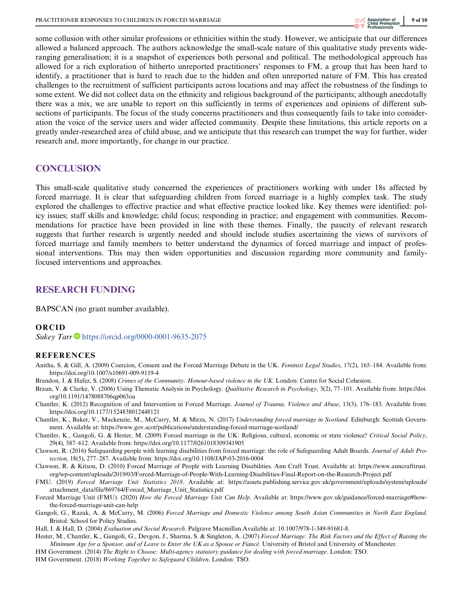some collusion with other similar professions or ethnicities within the study. However, we anticipate that our differences allowed a balanced approach. The authors acknowledge the small-scale nature of this qualitative study prevents wideranging generalisation; it is a snapshot of experiences both personal and political. The methodological approach has allowed for a rich exploration of hitherto unreported practitioners' responses to FM, a group that has been hard to identify, a practitioner that is hard to reach due to the hidden and often unreported nature of FM. This has created challenges to the recruitment of sufficient participants across locations and may affect the robustness of the findings to some extent. We did not collect data on the ethnicity and religious background of the participants; although anecdotally there was a mix, we are unable to report on this sufficiently in terms of experiences and opinions of different subsections of participants. The focus of the study concerns practitioners and thus consequently fails to take into consideration the voice of the service users and wider affected community. Despite these limitations, this article reports on a greatly under-researched area of child abuse, and we anticipate that this research can trumpet the way for further, wider research and, more importantly, for change in our practice.

## **CONCLUSION**

This small-scale qualitative study concerned the experiences of practitioners working with under 18s affected by forced marriage. It is clear that safeguarding children from forced marriage is a highly complex task. The study explored the challenges to effective practice and what effective practice looked like. Key themes were identified: policy issues; staff skills and knowledge; child focus; responding in practice; and engagement with communities. Recommendations for practice have been provided in line with these themes. Finally, the paucity of relevant research suggests that further research is urgently needed and should include studies ascertaining the views of survivors of forced marriage and family members to better understand the dynamics of forced marriage and impact of professional interventions. This may then widen opportunities and discussion regarding more community and familyfocused interventions and approaches.

## RESEARCH FUNDING

BAPSCAN (no grant number available).

#### ORCID

Sukey Tarr <sup>b</sup> <https://orcid.org/0000-0001-9635-2075>

#### REFERENCES

Anitha, S. & Gill, A. (2009) Coercion, Consent and the Forced Marriage Debate in the UK. Feminist Legal Studies, 17(2), 165-184. Available from: <https://doi.org/10.1007/s10691-009-9119-4>

Brandon, J. & Hafez, S. (2008) Crimes of the Community: Honour-based violence in the UK. London: Centre for Social Cohesion.

- Braun, V. & Clarke, V. (2006) Using Thematic Analysis in Psychology. Qualitative Research in Psychology, 3(2), 77-101. Available from: [https://doi.](https://doi.org/10.1191/1478088706qp063oa) [org/10.1191/1478088706qp063oa](https://doi.org/10.1191/1478088706qp063oa)
- Chantler, K. (2012) Recognition of and Intervention in Forced Marriage. Journal of Trauma, Violence and Abuse, 13(3), 176–183. Available from: <https://doi.org/10.1177/1524838012448121>
- Chantler, K., Baker, V., Mackenzie, M., McCarry, M. & Mirza, N. (2017) Understanding forced marriage in Scotland. Edinburgh: Scottish Government. Available at:<https://www.gov.scot/publications/understanding-forced-marriage-scotland/>
- Chantler, K., Gangoli, G. & Hester, M. (2009) Forced marriage in the UK: Religious, cultural, economic or state violence? Critical Social Policy, 29(4), 587–612. Available from:<https://doi.org/10.1177/0261018309341905>
- Clawson, R. (2016) Safeguarding people with learning disabilities from forced marriage: the role of Safeguarding Adult Boards. Journal of Adult Protection, 18(5), 277–287. Available from:<https://doi.org/10.1108/JAP-03-2016-0004>
- Clawson, R. & Kitson, D. (2010) Forced Marriage of People with Learning Disabilities. Ann Craft Trust. Available at: [https://www.anncrafttrust.](https://www.anncrafttrust.org/wp-content/uploads/2019/03/Forced-Marriage-of-People-With-Learning-Disabilities-Final-Report-on-the-Research-Project.pdf) [org/wp-content/uploads/2019/03/Forced-Marriage-of-People-With-Learning-Disabilities-Final-Report-on-the-Research-Project.pdf](https://www.anncrafttrust.org/wp-content/uploads/2019/03/Forced-Marriage-of-People-With-Learning-Disabilities-Final-Report-on-the-Research-Project.pdf)
- FMU. (2019) Forced Marriage Unit Statistics 2018. Available at: [https://assets.publishing.service.gov.uk/government/uploads/system/uploads/](https://assets.publishing.service.gov.uk/government/uploads/system/uploads/attachment_data/file/869764/Forced_Marriage_Unit_Statistics.pdf) [attachment\\_data/file/869764/Forced\\_Marriage\\_Unit\\_Statistics.pdf](https://assets.publishing.service.gov.uk/government/uploads/system/uploads/attachment_data/file/869764/Forced_Marriage_Unit_Statistics.pdf)
- Forced Marriage Unit (FMU). (2020) How the Forced Marriage Unit Can Help. Available at: [https://www.gov.uk/guidance/forced-marriage#how](https://www.gov.uk/guidance/forced-marriage#how-the-forced-marriage-unit-can-help)[the-forced-marriage-unit-can-help](https://www.gov.uk/guidance/forced-marriage#how-the-forced-marriage-unit-can-help)
- Gangoli, G., Razak, A. & McCarry, M. (2006) Forced Marriage and Domestic Violence among South Asian Communities in North East England. Bristol: School for Policy Studies.

Hall, I. & Hall, D. (2004) Evaluation and Social Research. Palgrave Macmillan Available at: [10.1007/978-1-349-91681-8.](https://doi.org/10.1007/978-1-349-91681-8)

- Hester, M., Chantler, K., Gangoli, G., Devgon, J., Sharma, S. & Singleton, A. (2007) Forced Marriage: The Risk Factors and the Effect of Raising the Minimum Age for a Sponsor, and of Leave to Enter the UK as a Spouse or Fiancé. University of Bristol and University of Manchester.
- HM Government. (2014) The Right to Choose: Multi-agency statutory guidance for dealing with forced marriage. London: TSO.
- HM Government. (2018) Working Together to Safeguard Children. London: TSO.